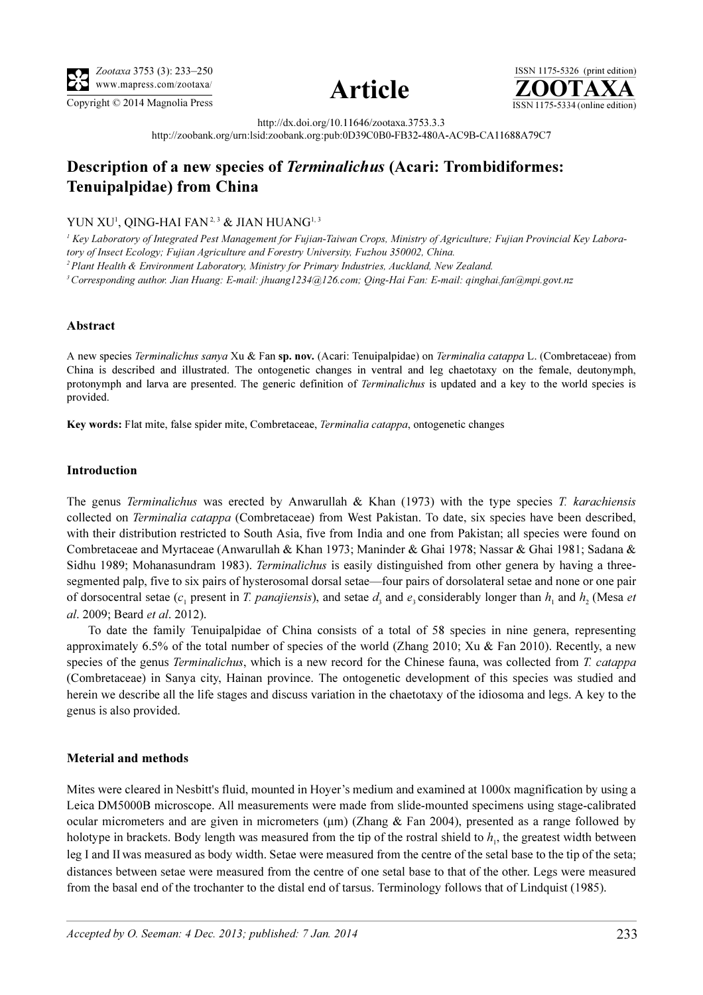

Copyright © 2014 Magnolia Press ISSN 1175-5334 (online edition)



ISSN 1175-5326 (print edition)<br> $\overline{{\bf ZOOTAXA}}$ 

http://dx.doi.org/10.11646/zootaxa.3753.3.3

http://zoobank.org/urn:lsid:zoobank.org:pub:0D39C0B0-FB32-480A-AC9B-CA11688A79C7

# Description of a new species of Terminalichus (Acari: Trombidiformes: Tenuipalpidae) from China

YUN XU<sup>1</sup>, QING-HAI FAN<sup>2,3</sup> & JIAN HUANG<sup>1,3</sup>

<sup>1</sup> Key Laboratory of Integrated Pest Management for Fujian-Taiwan Crops, Ministry of Agriculture; Fujian Provincial Key Laboratory of Insect Ecology; Fujian Agriculture and Forestry University, Fuzhou 350002, China. <sup>2</sup> Plant Health & Environment Laboratory, Ministry for Primary Industries, Auckland, New Zealand. <sup>3</sup>Corresponding author. Jian Huang: E-mail: jhuang1234@126.com; Qing-Hai Fan: E-mail: qinghai.fan@mpi.govt.nz

### Abstract

A new species Terminalichus sanya Xu & Fan sp. nov. (Acari: Tenuipalpidae) on Terminalia catappa L. (Combretaceae) from China is described and illustrated. The ontogenetic changes in ventral and leg chaetotaxy on the female, deutonymph, protonymph and larva are presented. The generic definition of *Terminalichus* is updated and a key to the world species is provided.

Key words: Flat mite, false spider mite, Combretaceae, Terminalia catappa, ontogenetic changes

#### Introduction

The genus *Terminalichus* was erected by Anwarullah & Khan (1973) with the type species T. karachiensis collected on Terminalia catappa (Combretaceae) from West Pakistan. To date, six species have been described, with their distribution restricted to South Asia, five from India and one from Pakistan; all species were found on Combretaceae and Myrtaceae (Anwarullah & Khan 1973; Maninder & Ghai 1978; Nassar & Ghai 1981; Sadana & Sidhu 1989; Mohanasundram 1983). Terminalichus is easily distinguished from other genera by having a threesegmented palp, five to six pairs of hysterosomal dorsal setae—four pairs of dorsolateral setae and none or one pair of dorsocentral setae (c<sub>1</sub> present in T. panajiensis), and setae  $d_3$  and  $e_3$  considerably longer than h<sub>1</sub> and h<sub>2</sub> (Mesa et al. 2009; Beard et al. 2012).

To date the family Tenuipalpidae of China consists of a total of 58 species in nine genera, representing approximately 6.5% of the total number of species of the world (Zhang 2010; Xu & Fan 2010). Recently, a new species of the genus *Terminalichus*, which is a new record for the Chinese fauna, was collected from T. *catappa* (Combretaceae) in Sanya city, Hainan province. The ontogenetic development of this species was studied and herein we describe all the life stages and discuss variation in the chaetotaxy of the idiosoma and legs. A key to the genus is also provided.

## Meterial and methods

Mites were cleared in Nesbitt's fluid, mounted in Hoyer's medium and examined at 1000x magnification by using a Leica DM5000B microscope. All measurements were made from slide-mounted specimens using stage-calibrated ocular micrometers and are given in micrometers ( $\mu$ m) (Zhang & Fan 2004), presented as a range followed by holotype in brackets. Body length was measured from the tip of the rostral shield to  $h<sub>1</sub>$ , the greatest width between leg I and IIwas measured as body width. Setae were measured from the centre of the setal base to the tip of the seta; distances between setae were measured from the centre of one setal base to that of the other. Legs were measured from the basal end of the trochanter to the distal end of tarsus. Terminology follows that of Lindquist (1985).